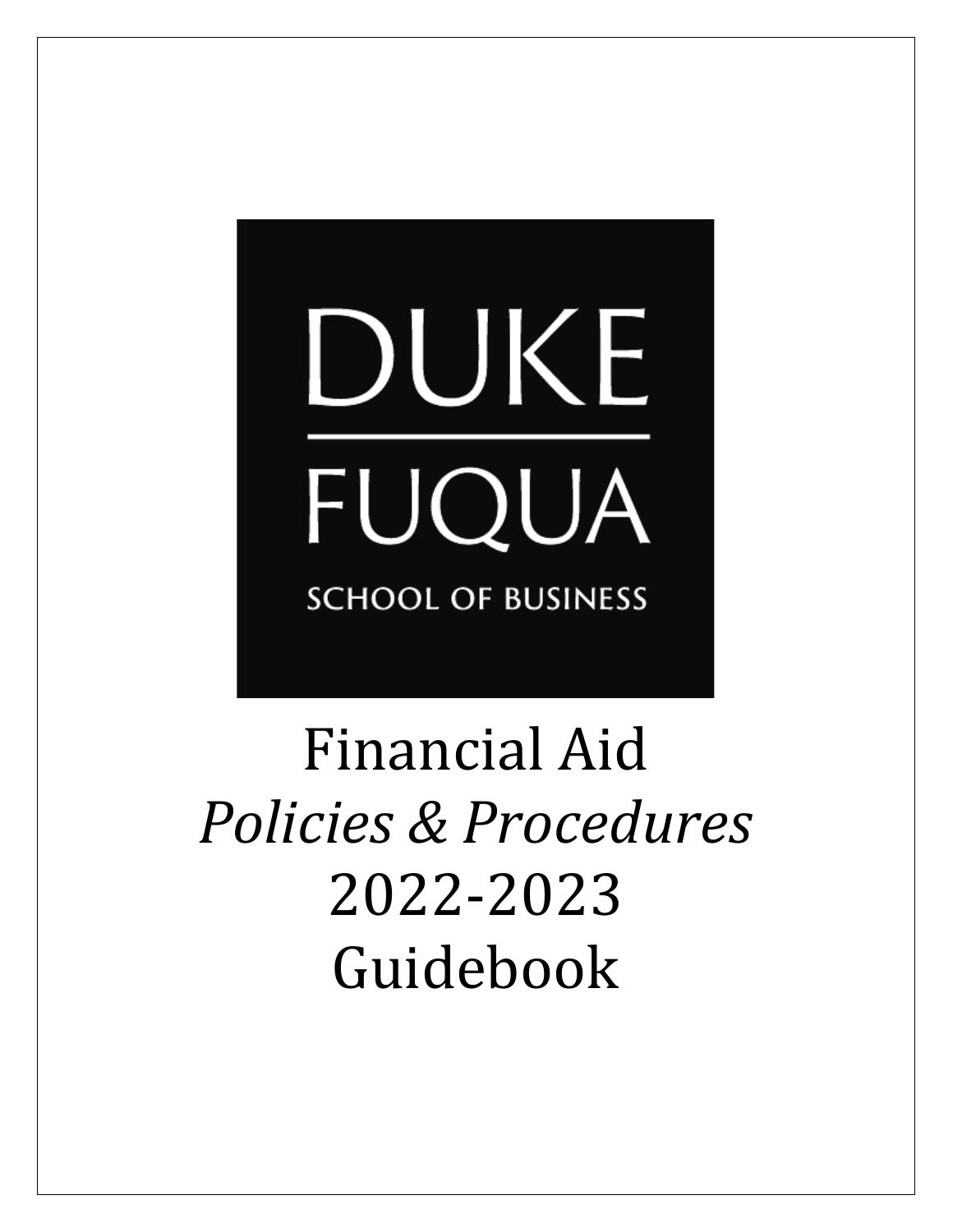# DUKE FUQUA **SCHOOL OF BUSINESS**

Financial Aid *Policies & Procedures* 2022-2023 Guidebook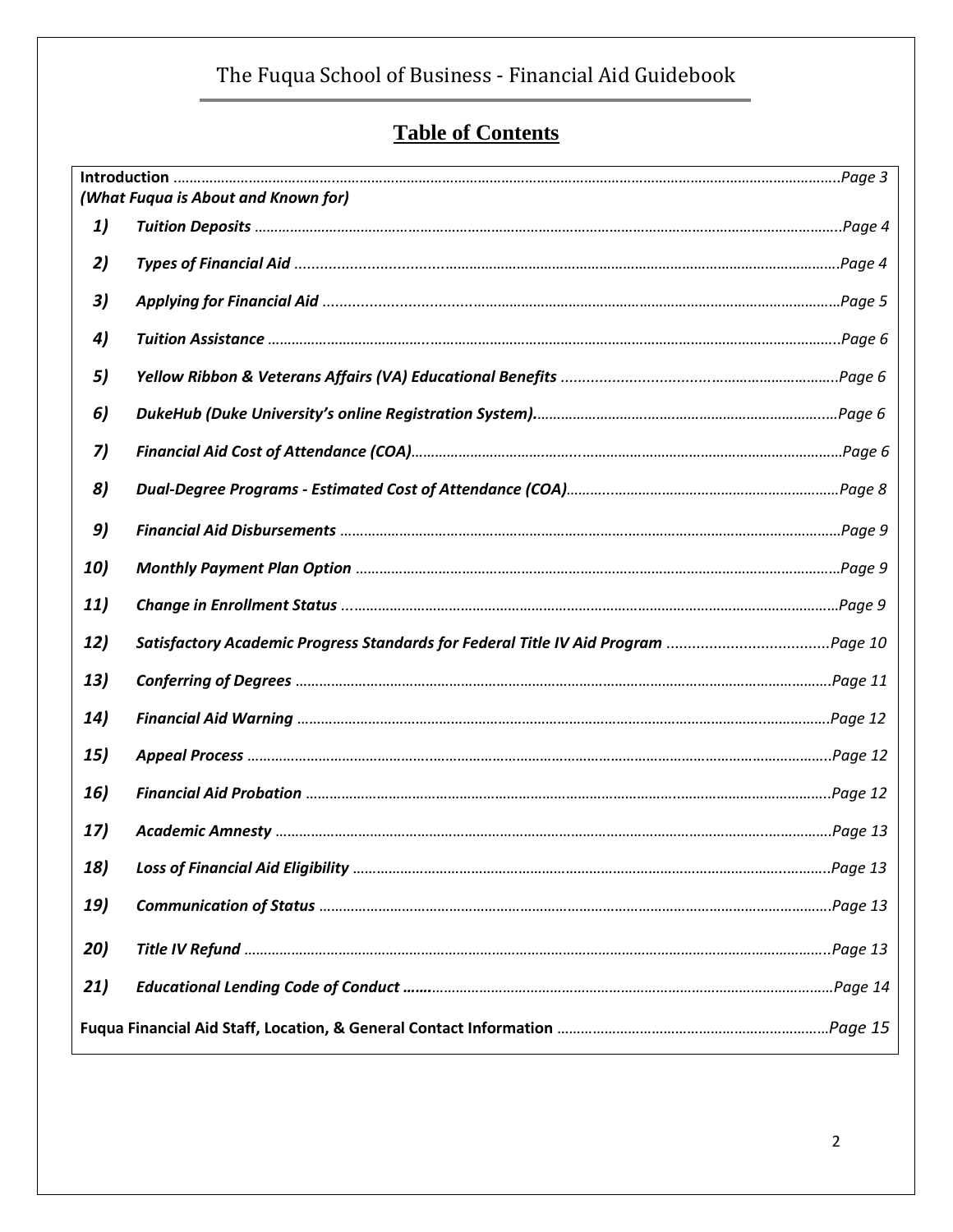# **Table of Contents**

| (What Fuqua is About and Known for) |                                                                                   |  |  |  |  |  |  |
|-------------------------------------|-----------------------------------------------------------------------------------|--|--|--|--|--|--|
| 1)                                  |                                                                                   |  |  |  |  |  |  |
| 2)                                  |                                                                                   |  |  |  |  |  |  |
| 3)                                  |                                                                                   |  |  |  |  |  |  |
| 4)                                  |                                                                                   |  |  |  |  |  |  |
| 5)                                  |                                                                                   |  |  |  |  |  |  |
| 6)                                  |                                                                                   |  |  |  |  |  |  |
| 7)                                  |                                                                                   |  |  |  |  |  |  |
| 8)                                  |                                                                                   |  |  |  |  |  |  |
| 9)                                  |                                                                                   |  |  |  |  |  |  |
| 10)                                 |                                                                                   |  |  |  |  |  |  |
| 11)                                 |                                                                                   |  |  |  |  |  |  |
| 12)                                 | Satisfactory Academic Progress Standards for Federal Title IV Aid Program Page 10 |  |  |  |  |  |  |
| 13)                                 |                                                                                   |  |  |  |  |  |  |
| 14)                                 |                                                                                   |  |  |  |  |  |  |
| 15)                                 | Page 12.                                                                          |  |  |  |  |  |  |
| 16)                                 |                                                                                   |  |  |  |  |  |  |
| 17)                                 |                                                                                   |  |  |  |  |  |  |
| 18)                                 |                                                                                   |  |  |  |  |  |  |
| 19)                                 |                                                                                   |  |  |  |  |  |  |
| 20)                                 |                                                                                   |  |  |  |  |  |  |
| 21)                                 |                                                                                   |  |  |  |  |  |  |
|                                     |                                                                                   |  |  |  |  |  |  |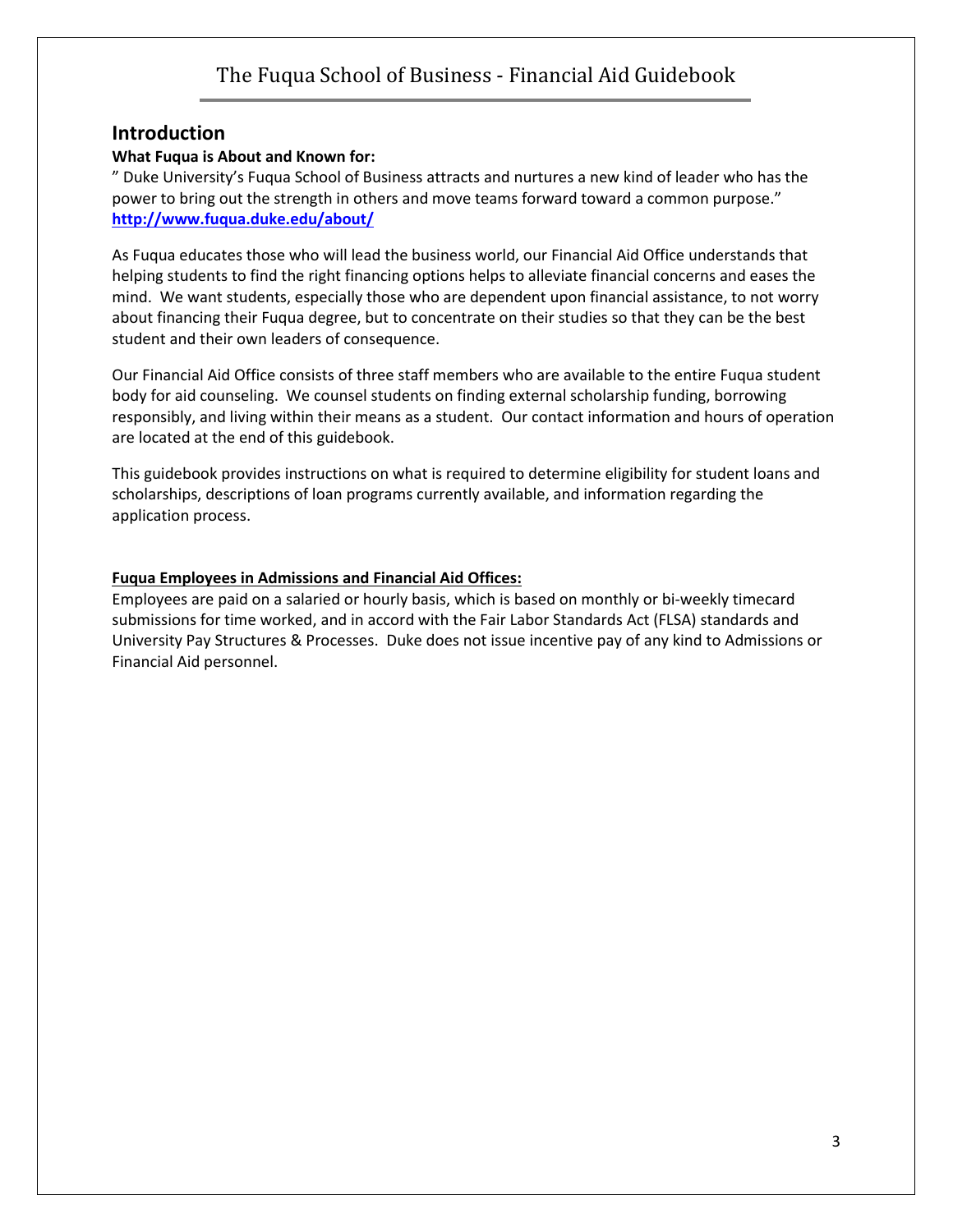#### **Introduction**

#### **What Fuqua is About and Known for:**

" Duke University's Fuqua School of Business attracts and nurtures a new kind of leader who has the power to bring out the strength in others and move teams forward toward a common purpose." **<http://www.fuqua.duke.edu/about/>**

As Fuqua educates those who will lead the business world, our Financial Aid Office understands that helping students to find the right financing options helps to alleviate financial concerns and eases the mind. We want students, especially those who are dependent upon financial assistance, to not worry about financing their Fuqua degree, but to concentrate on their studies so that they can be the best student and their own leaders of consequence.

Our Financial Aid Office consists of three staff members who are available to the entire Fuqua student body for aid counseling. We counsel students on finding external scholarship funding, borrowing responsibly, and living within their means as a student. Our contact information and hours of operation are located at the end of this guidebook.

This guidebook provides instructions on what is required to determine eligibility for student loans and scholarships, descriptions of loan programs currently available, and information regarding the application process.

#### **Fuqua Employees in Admissions and Financial Aid Offices:**

Employees are paid on a salaried or hourly basis, which is based on monthly or bi-weekly timecard submissions for time worked, and in accord with the Fair Labor Standards Act (FLSA) standards and University Pay Structures & Processes. Duke does not issue incentive pay of any kind to Admissions or Financial Aid personnel.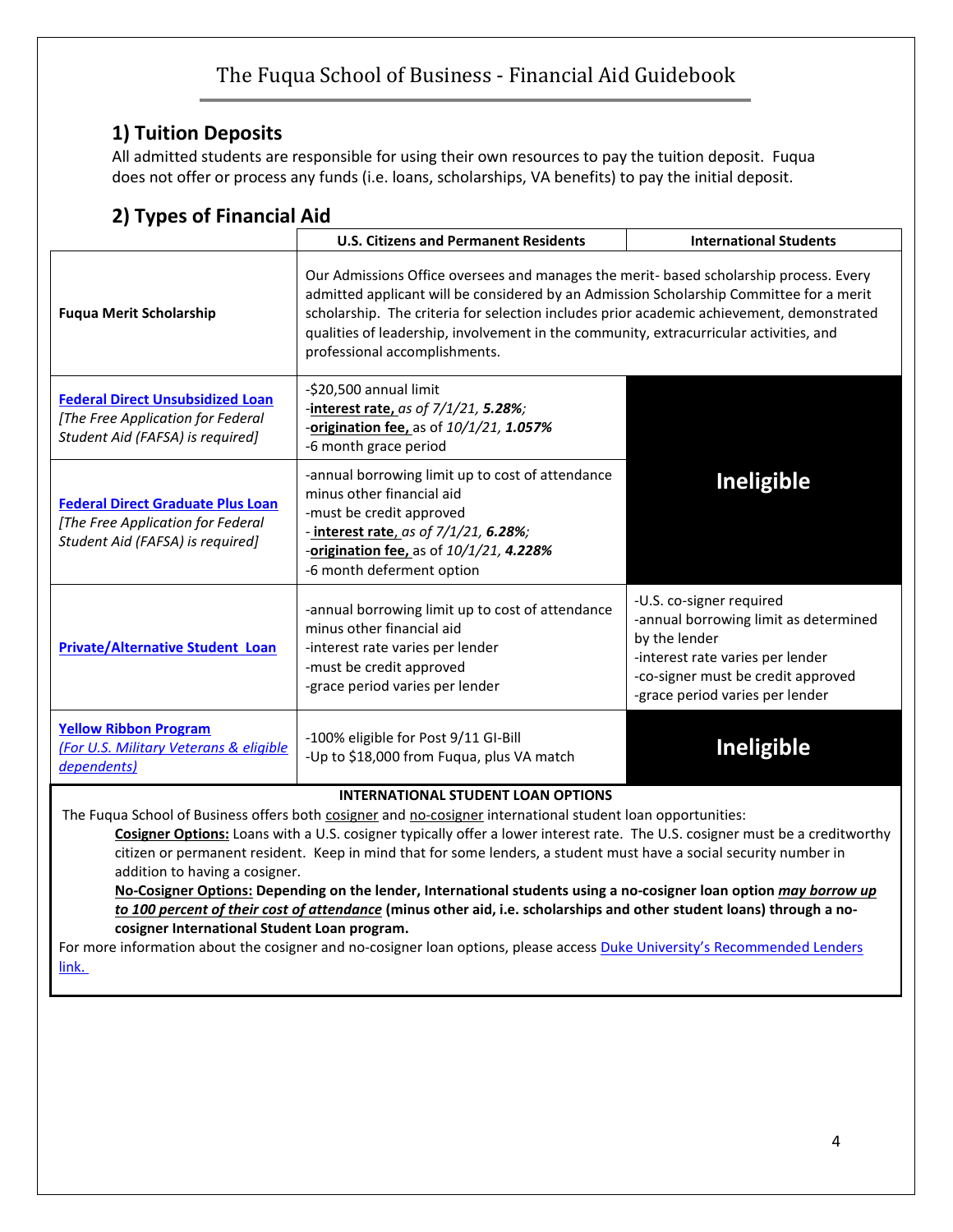## **1) Tuition Deposits**

All admitted students are responsible for using their own resources to pay the tuition deposit. Fuqua does not offer or process any funds (i.e. loans, scholarships, VA benefits) to pay the initial deposit.

|                                                                                                                                                          | <b>U.S. Citizens and Permanent Residents</b><br><b>International Students</b>                                                                                                                                                                                                                                                                                                                             |                                                                                                                                                                                                 |  |  |  |  |  |
|----------------------------------------------------------------------------------------------------------------------------------------------------------|-----------------------------------------------------------------------------------------------------------------------------------------------------------------------------------------------------------------------------------------------------------------------------------------------------------------------------------------------------------------------------------------------------------|-------------------------------------------------------------------------------------------------------------------------------------------------------------------------------------------------|--|--|--|--|--|
| <b>Fuqua Merit Scholarship</b>                                                                                                                           | Our Admissions Office oversees and manages the merit- based scholarship process. Every<br>admitted applicant will be considered by an Admission Scholarship Committee for a merit<br>scholarship. The criteria for selection includes prior academic achievement, demonstrated<br>qualities of leadership, involvement in the community, extracurricular activities, and<br>professional accomplishments. |                                                                                                                                                                                                 |  |  |  |  |  |
| <b>Federal Direct Unsubsidized Loan</b><br>[The Free Application for Federal<br>Student Aid (FAFSA) is required]                                         | -\$20,500 annual limit<br>-interest rate, as of 7/1/21, 5.28%;<br>-origination fee, as of 10/1/21, 1.057%<br>-6 month grace period                                                                                                                                                                                                                                                                        |                                                                                                                                                                                                 |  |  |  |  |  |
| <b>Federal Direct Graduate Plus Loan</b><br>[The Free Application for Federal<br>Student Aid (FAFSA) is required]                                        | -annual borrowing limit up to cost of attendance<br>minus other financial aid<br>-must be credit approved<br>- interest rate, as of 7/1/21, 6.28%;<br>-origination fee, as of 10/1/21, 4.228%<br>-6 month deferment option                                                                                                                                                                                | <b>Ineligible</b>                                                                                                                                                                               |  |  |  |  |  |
| <b>Private/Alternative Student Loan</b>                                                                                                                  | -annual borrowing limit up to cost of attendance<br>minus other financial aid<br>-interest rate varies per lender<br>-must be credit approved<br>-grace period varies per lender                                                                                                                                                                                                                          | -U.S. co-signer required<br>-annual borrowing limit as determined<br>by the lender<br>-interest rate varies per lender<br>-co-signer must be credit approved<br>-grace period varies per lender |  |  |  |  |  |
| <b>Yellow Ribbon Program</b><br>(For U.S. Military Veterans & eligible<br>dependents)                                                                    | -100% eligible for Post 9/11 GI-Bill<br>-Up to \$18,000 from Fuqua, plus VA match                                                                                                                                                                                                                                                                                                                         | Ineligible                                                                                                                                                                                      |  |  |  |  |  |
| <b>INTERNATIONAL STUDENT LOAN OPTIONS</b><br>The Fuqua School of Business offers both cosigner and no-cosigner international student loan opportunities: |                                                                                                                                                                                                                                                                                                                                                                                                           |                                                                                                                                                                                                 |  |  |  |  |  |

## **2) Types of Financial Aid**

**Cosigner Options:** Loans with a U.S. cosigner typically offer a lower interest rate. The U.S. cosigner must be a creditworthy citizen or permanent resident. Keep in mind that for some lenders, a student must have a social security number in addition to having a cosigner.

**No-Cosigner Options: Depending on the lender, International students using a no-cosigner loan option** *may borrow up to 100 percent of their cost of attendance* **(minus other aid, i.e. scholarships and other student loans) through a nocosigner International Student Loan program.**

For more information about the cosigner and no-cosigner loan options, please access **Duke University's Recommended Lenders** [link.](https://financialaid.duke.edu/types-aid/loans/recommended-lenders/)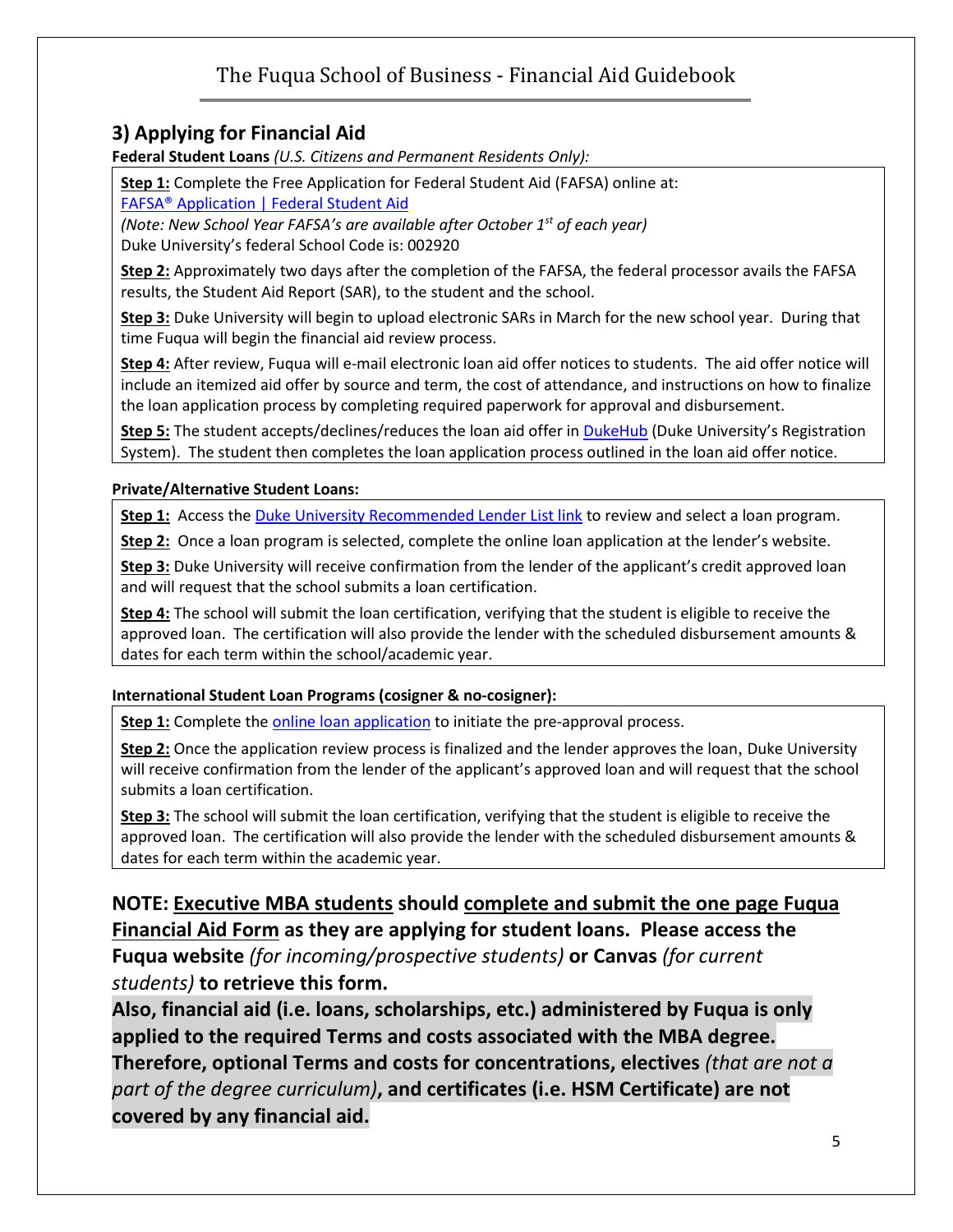## **3) Applying for Financial Aid**

**Federal Student Loans** *(U.S. Citizens and Permanent Residents Only):*

**Step 1:** Complete the Free Application for Federal Student Aid (FAFSA) online at:

[FAFSA® Application | Federal Student Aid](https://studentaid.gov/h/apply-for-aid/fafsa)

*(Note: New School Year FAFSA's are available after October 1 st of each year)* Duke University's federal School Code is: 002920

**Step 2:** Approximately two days after the completion of the FAFSA, the federal processor avails the FAFSA results, the Student Aid Report (SAR), to the student and the school.

**Step 3:** Duke University will begin to upload electronic SARs in March for the new school year. During that time Fuqua will begin the financial aid review process.

**Step 4:** After review, Fuqua will e-mail electronic loan aid offer notices to students. The aid offer notice will include an itemized aid offer by source and term, the cost of attendance, and instructions on how to finalize the loan application process by completing required paperwork for approval and disbursement.

**Step 5:** The student accepts/declines/reduces the loan aid offer in [DukeHub](https://dukehub.duke.edu/) (Duke University's Registration System). The student then completes the loan application process outlined in the loan aid offer notice.

#### **Private/Alternative Student Loans:**

**Step 1:** Access the [Duke University Recommended Lender List link](https://financialaid.duke.edu/types-aid/loans/recommended-lenders/) to review and select a loan program.

**Step 2:** Once a loan program is selected, complete the online loan application at the lender's website.

**Step 3:** Duke University will receive confirmation from the lender of the applicant's credit approved loan and will request that the school submits a loan certification.

**Step 4:** The school will submit the loan certification, verifying that the student is eligible to receive the approved loan. The certification will also provide the lender with the scheduled disbursement amounts & dates for each term within the school/academic year.

#### **International Student Loan Programs (cosigner & no-cosigner):**

**Step 1:** Complete the [online loan](https://financialaid.duke.edu/types-aid/loans/recommended-lenders/) application to initiate the pre-approval process.

**Step 2:** Once the application review process is finalized and the lender approves the loan, Duke University will receive confirmation from the lender of the applicant's approved loan and will request that the school submits a loan certification.

**Step 3:** The school will submit the loan certification, verifying that the student is eligible to receive the approved loan. The certification will also provide the lender with the scheduled disbursement amounts & dates for each term within the academic year.

**NOTE: Executive MBA students should complete and submit the one page Fuqua Financial Aid Form as they are applying for student loans. Please access the Fuqua website** *(for incoming/prospective students)* **or Canvas** *(for current students)* **to retrieve this form.**

**Also, financial aid (i.e. loans, scholarships, etc.) administered by Fuqua is only applied to the required Terms and costs associated with the MBA degree. Therefore, optional Terms and costs for concentrations, electives** *(that are not a part of the degree curriculum)***, and certificates (i.e. HSM Certificate) are not covered by any financial aid.**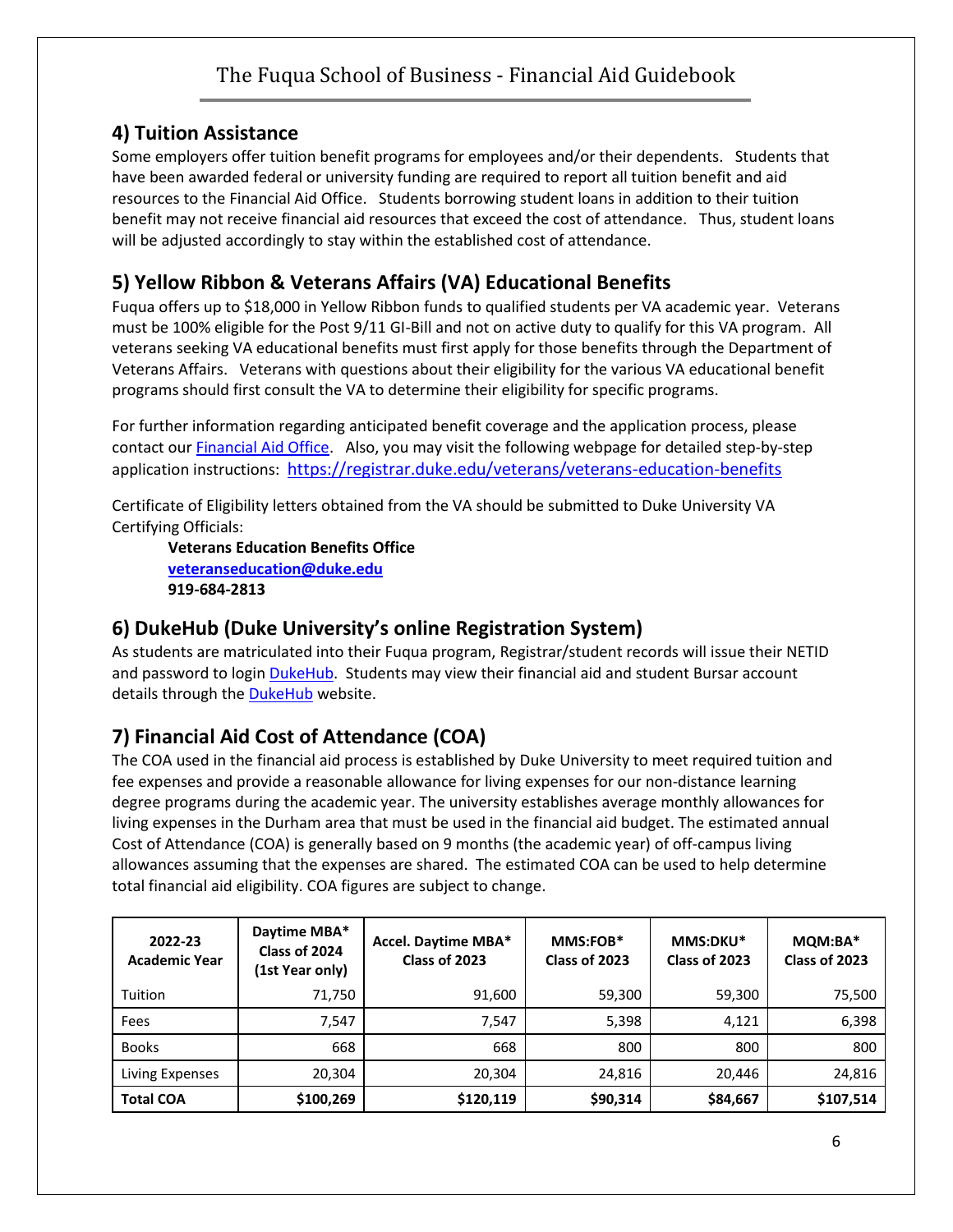## **4) Tuition Assistance**

Some employers offer tuition benefit programs for employees and/or their dependents. Students that have been awarded federal or university funding are required to report all tuition benefit and aid resources to the Financial Aid Office. Students borrowing student loans in addition to their tuition benefit may not receive financial aid resources that exceed the cost of attendance. Thus, student loans will be adjusted accordingly to stay within the established cost of attendance.

## **5) Yellow Ribbon & Veterans Affairs (VA) Educational Benefits**

Fuqua offers up to \$18,000 in Yellow Ribbon funds to qualified students per VA academic year. Veterans must be 100% eligible for the Post 9/11 GI-Bill and not on active duty to qualify for this VA program. All veterans seeking VA educational benefits must first apply for those benefits through the Department of Veterans Affairs. Veterans with questions about their eligibility for the various VA educational benefit programs should first consult the VA to determine their eligibility for specific programs.

For further information regarding anticipated benefit coverage and the application process, please contact our **Financial Aid Office.** Also, you may visit the following webpage for detailed step-by-step application instructions: <https://registrar.duke.edu/veterans/veterans-education-benefits>

Certificate of Eligibility letters obtained from the VA should be submitted to Duke University VA Certifying Officials:

**Veterans Education Benefits Office [veteranseducation@duke.edu](mailto:veteranseducation@duke.edu) 919-684-2813**

## **6) DukeHub (Duke University's online Registration System)**

As students are matriculated into their Fuqua program, Registrar/student records will issue their NETID and password to login [DukeHub.](https://dukehub.duke.edu/) Students may view their financial aid and student Bursar account details through the [DukeHub](https://dukehub.duke.edu/) website.

## **7) Financial Aid Cost of Attendance (COA)**

The COA used in the financial aid process is established by Duke University to meet required tuition and fee expenses and provide a reasonable allowance for living expenses for our non-distance learning degree programs during the academic year. The university establishes average monthly allowances for living expenses in the Durham area that must be used in the financial aid budget. The estimated annual Cost of Attendance (COA) is generally based on 9 months (the academic year) of off-campus living allowances assuming that the expenses are shared. The estimated COA can be used to help determine total financial aid eligibility. COA figures are subject to change.

| 2022-23<br><b>Academic Year</b> | Daytime MBA*<br>Class of 2024<br>(1st Year only) | Accel. Daytime MBA*<br>Class of 2023 | MMS:FOB*<br>Class of 2023 | MMS:DKU*<br>Class of 2023 | MQM:BA*<br>Class of 2023 |
|---------------------------------|--------------------------------------------------|--------------------------------------|---------------------------|---------------------------|--------------------------|
| Tuition                         | 71,750                                           | 91,600                               | 59,300                    | 59,300                    | 75,500                   |
| Fees                            | 7,547                                            | 7,547                                | 5,398                     | 4,121                     | 6,398                    |
| <b>Books</b>                    | 668                                              | 668                                  | 800                       | 800                       | 800                      |
| Living Expenses                 | 20,304                                           | 20.304                               | 24,816                    | 20,446                    | 24,816                   |
| <b>Total COA</b>                | \$100,269                                        | \$120,119                            | \$90,314                  | \$84,667                  | \$107,514                |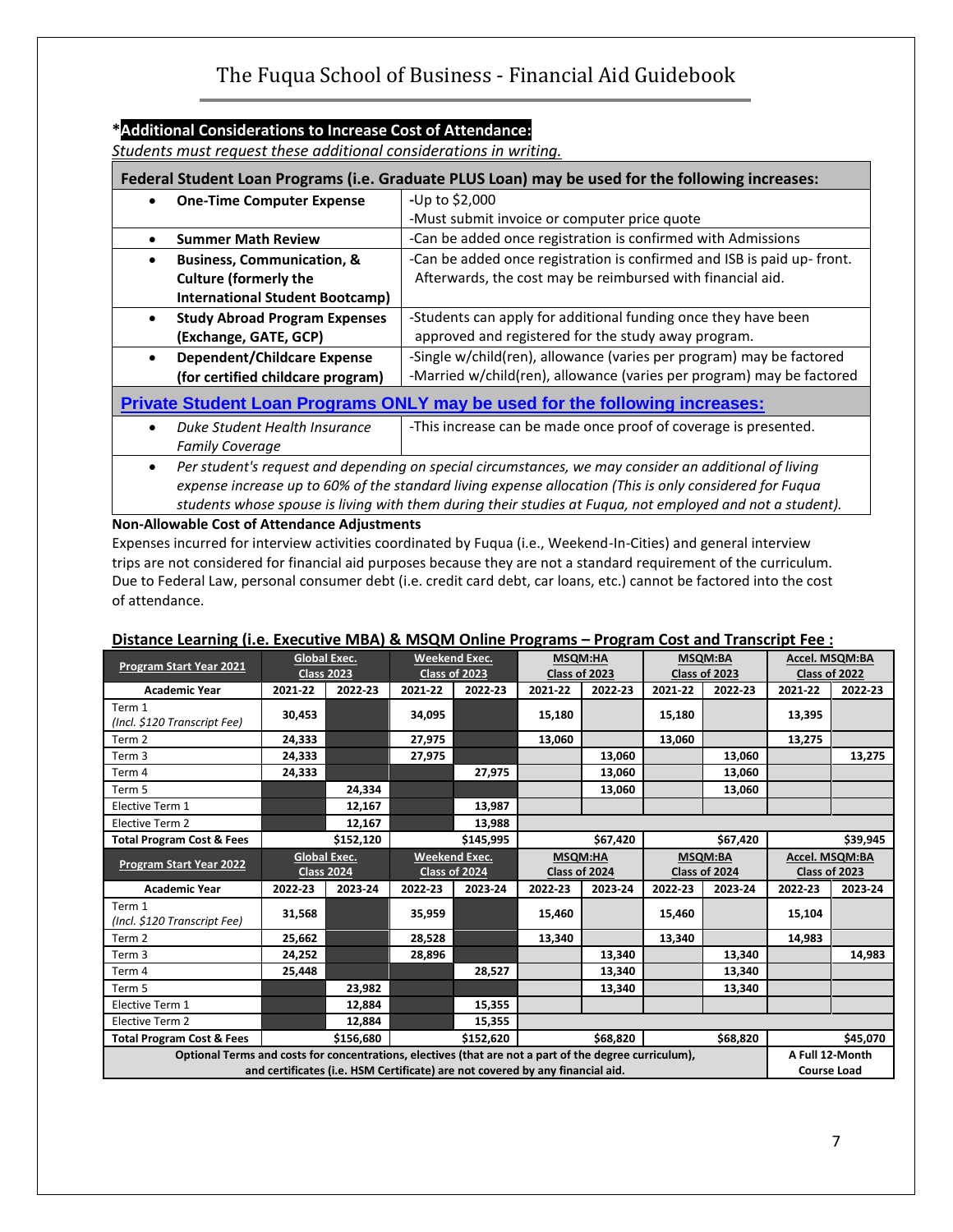#### **\*Additional Considerations to Increase Cost of Attendance:**

*Students must request these additional considerations in writing.*

| Federal Student Loan Programs (i.e. Graduate PLUS Loan) may be used for the following increases: |                                                                                                                                                                                                                                                                                                                               |  |  |  |  |  |  |
|--------------------------------------------------------------------------------------------------|-------------------------------------------------------------------------------------------------------------------------------------------------------------------------------------------------------------------------------------------------------------------------------------------------------------------------------|--|--|--|--|--|--|
| <b>One-Time Computer Expense</b><br>$\bullet$                                                    | -Up to \$2,000                                                                                                                                                                                                                                                                                                                |  |  |  |  |  |  |
|                                                                                                  | -Must submit invoice or computer price quote                                                                                                                                                                                                                                                                                  |  |  |  |  |  |  |
| <b>Summer Math Review</b>                                                                        | -Can be added once registration is confirmed with Admissions                                                                                                                                                                                                                                                                  |  |  |  |  |  |  |
| <b>Business, Communication, &amp;</b><br>$\bullet$                                               | -Can be added once registration is confirmed and ISB is paid up-front.                                                                                                                                                                                                                                                        |  |  |  |  |  |  |
| <b>Culture (formerly the</b>                                                                     | Afterwards, the cost may be reimbursed with financial aid.                                                                                                                                                                                                                                                                    |  |  |  |  |  |  |
| <b>International Student Bootcamp)</b>                                                           |                                                                                                                                                                                                                                                                                                                               |  |  |  |  |  |  |
| <b>Study Abroad Program Expenses</b><br>$\bullet$                                                | -Students can apply for additional funding once they have been                                                                                                                                                                                                                                                                |  |  |  |  |  |  |
| (Exchange, GATE, GCP)                                                                            | approved and registered for the study away program.                                                                                                                                                                                                                                                                           |  |  |  |  |  |  |
| <b>Dependent/Childcare Expense</b>                                                               | -Single w/child(ren), allowance (varies per program) may be factored                                                                                                                                                                                                                                                          |  |  |  |  |  |  |
| (for certified childcare program)                                                                | -Married w/child(ren), allowance (varies per program) may be factored                                                                                                                                                                                                                                                         |  |  |  |  |  |  |
|                                                                                                  | <b>Private Student Loan Programs ONLY may be used for the following increases:</b>                                                                                                                                                                                                                                            |  |  |  |  |  |  |
| Duke Student Health Insurance<br>$\bullet$                                                       | -This increase can be made once proof of coverage is presented.                                                                                                                                                                                                                                                               |  |  |  |  |  |  |
| <b>Family Coverage</b>                                                                           |                                                                                                                                                                                                                                                                                                                               |  |  |  |  |  |  |
| $\bullet$                                                                                        | Per student's request and depending on special circumstances, we may consider an additional of living<br>expense increase up to 60% of the standard living expense allocation (This is only considered for Fugua<br>students whose spouse is living with them during their studies at Fuqua, not employed and not a student). |  |  |  |  |  |  |

#### **Non-Allowable Cost of Attendance Adjustments**

Expenses incurred for interview activities coordinated by Fuqua (i.e., Weekend-In-Cities) and general interview trips are not considered for financial aid purposes because they are not a standard requirement of the curriculum. Due to Federal Law, personal consumer debt (i.e. credit card debt, car loans, etc.) cannot be factored into the cost of attendance.

| Program Start Year 2021                                                                                                                                                                 | <b>Global Exec.</b><br><b>Class 2023</b>       |           | Class of 2023        | <b>Weekend Exec.</b> | MSQM:HA<br>Class of 2023        |         | <b>MSQM:BA</b><br>Class of 2023 |                                       | Accel. MSQM:BA<br>Class of 2022 |         |
|-----------------------------------------------------------------------------------------------------------------------------------------------------------------------------------------|------------------------------------------------|-----------|----------------------|----------------------|---------------------------------|---------|---------------------------------|---------------------------------------|---------------------------------|---------|
| <b>Academic Year</b>                                                                                                                                                                    | 2021-22                                        | 2022-23   | 2021-22              | 2022-23              | 2021-22                         | 2022-23 | 2021-22                         | 2022-23                               | 2021-22                         | 2022-23 |
| Term 1<br>(Incl. \$120 Transcript Fee)                                                                                                                                                  | 30,453                                         |           | 34,095               |                      | 15,180                          |         | 15,180                          |                                       | 13,395                          |         |
| Term 2                                                                                                                                                                                  | 24,333                                         |           | 27,975               |                      | 13.060                          |         | 13,060                          |                                       | 13,275                          |         |
| Term <sub>3</sub>                                                                                                                                                                       | 24,333                                         |           | 27,975               |                      |                                 | 13,060  |                                 | 13,060                                |                                 | 13,275  |
| Term 4                                                                                                                                                                                  | 24,333                                         |           |                      | 27,975               |                                 | 13,060  |                                 | 13,060                                |                                 |         |
| Term 5                                                                                                                                                                                  |                                                | 24,334    |                      |                      |                                 | 13,060  |                                 | 13,060                                |                                 |         |
| Elective Term 1                                                                                                                                                                         |                                                | 12,167    |                      | 13,987               |                                 |         |                                 |                                       |                                 |         |
| Elective Term 2                                                                                                                                                                         |                                                | 12,167    |                      | 13,988               |                                 |         |                                 |                                       |                                 |         |
| <b>Total Program Cost &amp; Fees</b>                                                                                                                                                    |                                                | \$152,120 |                      | \$145,995            | \$67,420                        |         | \$67,420                        |                                       | \$39,945                        |         |
| <b>Program Start Year 2022</b>                                                                                                                                                          | <b>Global Exec.</b><br><b>Class 2024</b>       |           | <b>Weekend Exec.</b> | Class of 2024        | <b>MSQM:HA</b><br>Class of 2024 |         | <b>MSQM:BA</b><br>Class of 2024 |                                       | Accel. MSQM:BA<br>Class of 2023 |         |
| <b>Academic Year</b>                                                                                                                                                                    | 2022-23                                        | 2023-24   | 2022-23              | 2023-24              | 2022-23                         | 2023-24 | 2022-23                         | 2023-24                               | 2022-23                         | 2023-24 |
| Term 1<br>(Incl. \$120 Transcript Fee)                                                                                                                                                  | 31,568                                         |           | 35,959               |                      | 15,460                          |         | 15,460                          |                                       | 15,104                          |         |
| Term 2                                                                                                                                                                                  | 25,662                                         |           | 28,528               |                      | 13,340                          |         | 13,340                          |                                       | 14,983                          |         |
| Term 3                                                                                                                                                                                  | 24,252                                         |           | 28,896               |                      |                                 | 13,340  |                                 | 13,340                                |                                 | 14,983  |
| Term 4                                                                                                                                                                                  | 25,448                                         |           |                      | 28,527               |                                 | 13,340  |                                 | 13,340                                |                                 |         |
| Term 5                                                                                                                                                                                  |                                                | 23,982    |                      |                      |                                 | 13,340  |                                 | 13,340                                |                                 |         |
| Elective Term 1                                                                                                                                                                         |                                                | 12,884    |                      | 15,355               |                                 |         |                                 |                                       |                                 |         |
| Elective Term 2                                                                                                                                                                         |                                                | 12,884    |                      | 15,355               |                                 |         |                                 |                                       |                                 |         |
| <b>Total Program Cost &amp; Fees</b>                                                                                                                                                    | \$68,820<br>\$156,680<br>\$152,620<br>\$68,820 |           |                      |                      |                                 |         | \$45,070                        |                                       |                                 |         |
| Optional Terms and costs for concentrations, electives (that are not a part of the degree curriculum),<br>and certificates (i.e. HSM Certificate) are not covered by any financial aid. |                                                |           |                      |                      |                                 |         |                                 | A Full 12-Month<br><b>Course Load</b> |                                 |         |

#### **Distance Learning (i.e. Executive MBA) & MSQM Online Programs – Program Cost and Transcript Fee :**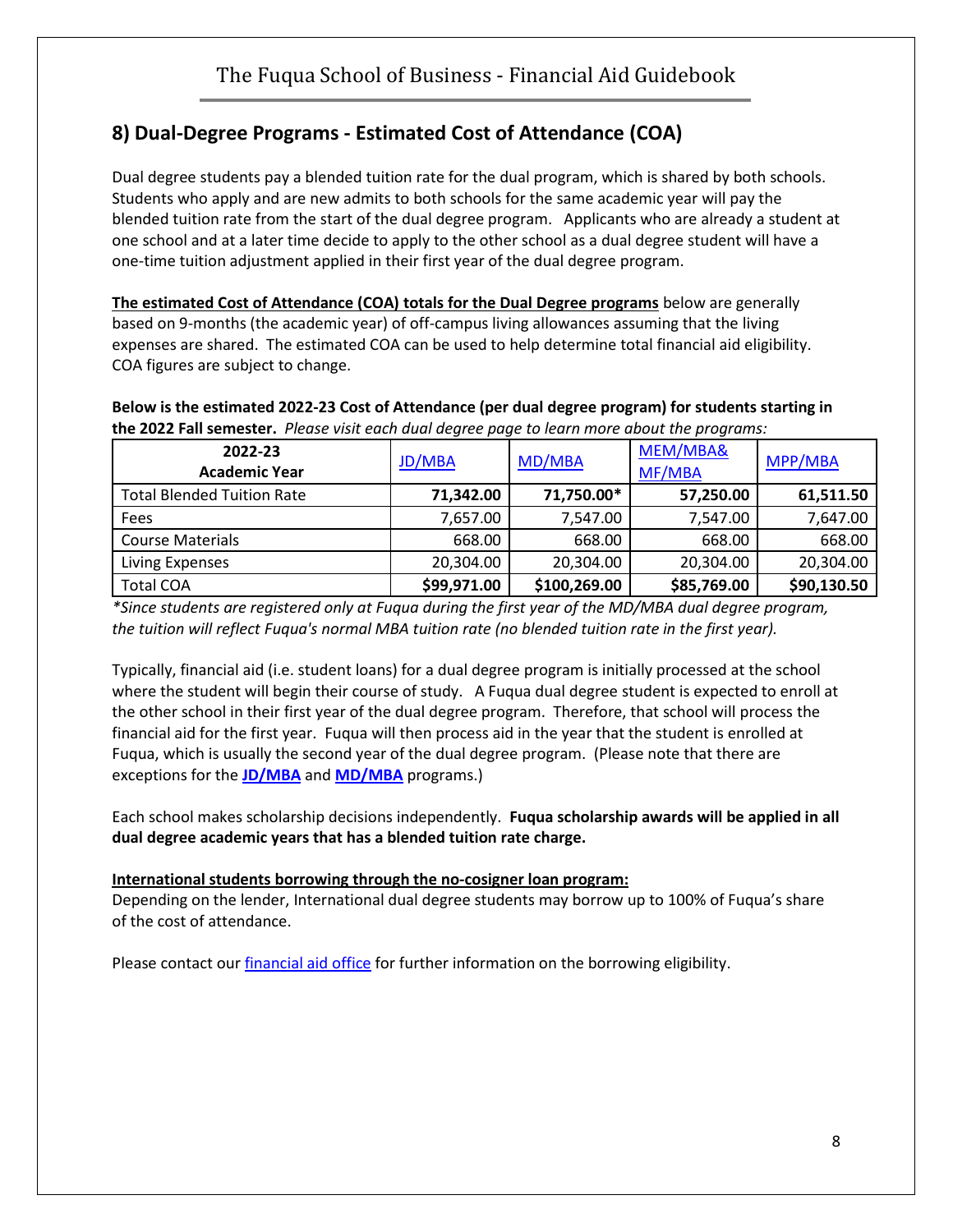# **8) Dual-Degree Programs - Estimated Cost of Attendance (COA)**

Dual degree students pay a blended tuition rate for the dual program, which is shared by both schools. Students who apply and are new admits to both schools for the same academic year will pay the blended tuition rate from the start of the dual degree program. Applicants who are already a student at one school and at a later time decide to apply to the other school as a dual degree student will have a one-time tuition adjustment applied in their first year of the dual degree program.

**The estimated Cost of Attendance (COA) totals for the Dual Degree programs** below are generally based on 9-months (the academic year) of off-campus living allowances assuming that the living expenses are shared. The estimated COA can be used to help determine total financial aid eligibility. COA figures are subject to change.

**Below is the estimated 2022-23 Cost of Attendance (per dual degree program) for students starting in the 2022 Fall semester.** *Please visit each dual degree page to learn more about the programs:*

| 2022-23<br><b>Academic Year</b>   | <b>JD/MBA</b> | MD/MBA       | MEM/MBA&<br>MF/MBA | MPP/MBA     |  |
|-----------------------------------|---------------|--------------|--------------------|-------------|--|
| <b>Total Blended Tuition Rate</b> | 71,342.00     | 71,750.00*   | 57,250.00          | 61,511.50   |  |
| Fees                              | 7,657.00      | 7,547.00     | 7,547.00           | 7,647.00    |  |
| <b>Course Materials</b>           | 668.00        | 668.00       | 668.00             | 668.00      |  |
| Living Expenses                   | 20,304.00     | 20,304.00    | 20,304.00          | 20,304.00   |  |
| <b>Total COA</b>                  | \$99,971.00   | \$100,269.00 | \$85,769.00        | \$90,130.50 |  |

*\*Since students are registered only at Fuqua during the first year of the MD/MBA dual degree program, the tuition will reflect Fuqua's normal MBA tuition rate (no blended tuition rate in the first year).*

Typically, financial aid (i.e. student loans) for a dual degree program is initially processed at the school where the student will begin their course of study. A Fuqua dual degree student is expected to enroll at the other school in their first year of the dual degree program. Therefore, that school will process the financial aid for the first year. Fuqua will then process aid in the year that the student is enrolled at Fuqua, which is usually the second year of the dual degree program. (Please note that there are exceptions for the **[JD/MBA](http://www.fuqua.duke.edu/daytime-mba/joint-degree/jd-mba/financial-aid/)** and **[MD/MBA](http://www.fuqua.duke.edu/daytime-mba/joint-degree/md-mba/cost_financial-aid/)** programs.)

Each school makes scholarship decisions independently. **Fuqua scholarship awards will be applied in all dual degree academic years that has a blended tuition rate charge.**

#### **International students borrowing through the no-cosigner loan program:**

Depending on the lender, International dual degree students may borrow up to 100% of Fuqua's share of the cost of attendance.

Please contact our *financial aid office* for further information on the borrowing eligibility.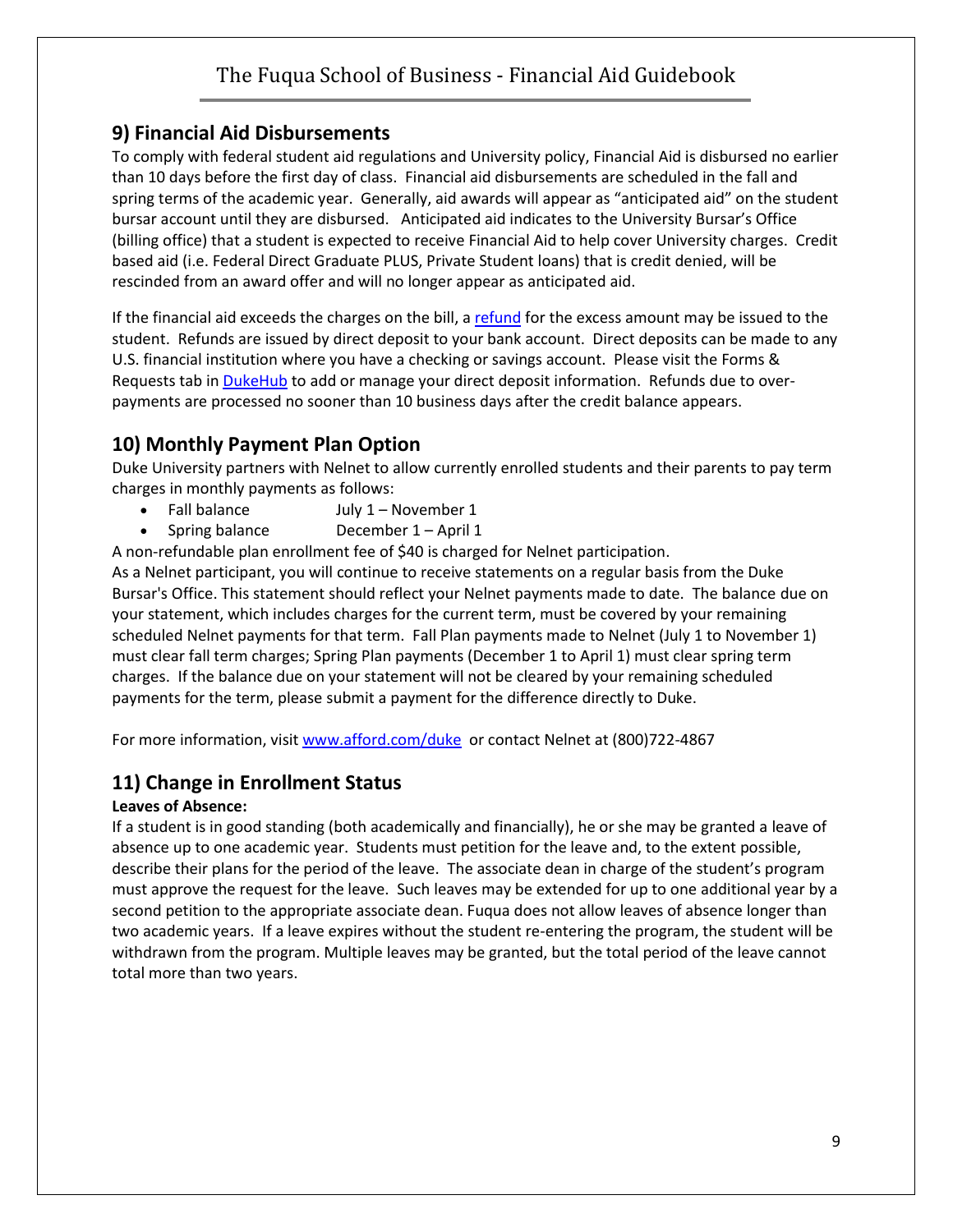#### **9) Financial Aid Disbursements**

To comply with federal student aid regulations and University policy, Financial Aid is disbursed no earlier than 10 days before the first day of class. Financial aid disbursements are scheduled in the fall and spring terms of the academic year. Generally, aid awards will appear as "anticipated aid" on the student bursar account until they are disbursed. Anticipated aid indicates to the University Bursar's Office (billing office) that a student is expected to receive Financial Aid to help cover University charges. Credit based aid (i.e. Federal Direct Graduate PLUS, Private Student loans) that is credit denied, will be rescinded from an award offer and will no longer appear as anticipated aid.

If the financial aid exceeds the charges on the bill, a [refund](https://finance.duke.edu/bursar/refunds/index.php) for the excess amount may be issued to the student. Refunds are issued by direct deposit to your bank account. Direct deposits can be made to any U.S. financial institution where you have a checking or savings account. Please visit the Forms & Requests tab in [DukeHub](https://dukehub.duke.edu/) to add or manage your direct deposit information. Refunds due to overpayments are processed no sooner than 10 business days after the credit balance appears.

## **10) Monthly Payment Plan Option**

Duke University partners with Nelnet to allow currently enrolled students and their parents to pay term charges in monthly payments as follows:

- Fall balance July 1 November 1
- Spring balance December 1 April 1

A non-refundable plan enrollment fee of \$40 is charged for Nelnet participation.

As a Nelnet participant, you will continue to receive statements on a regular basis from the Duke Bursar's Office. This statement should reflect your Nelnet payments made to date. The balance due on your statement, which includes charges for the current term, must be covered by your remaining scheduled Nelnet payments for that term. Fall Plan payments made to Nelnet (July 1 to November 1) must clear fall term charges; Spring Plan payments (December 1 to April 1) must clear spring term charges. If the balance due on your statement will not be cleared by your remaining scheduled payments for the term, please submit a payment for the difference directly to Duke.

For more information, visi[t www.afford.com/duke](http://www.afford.com/duke/) or contact Nelnet at (800)722-4867

## **11) Change in Enrollment Status**

#### **Leaves of Absence:**

If a student is in good standing (both academically and financially), he or she may be granted a leave of absence up to one academic year. Students must petition for the leave and, to the extent possible, describe their plans for the period of the leave. The associate dean in charge of the student's program must approve the request for the leave. Such leaves may be extended for up to one additional year by a second petition to the appropriate associate dean. Fuqua does not allow leaves of absence longer than two academic years. If a leave expires without the student re-entering the program, the student will be withdrawn from the program. Multiple leaves may be granted, but the total period of the leave cannot total more than two years.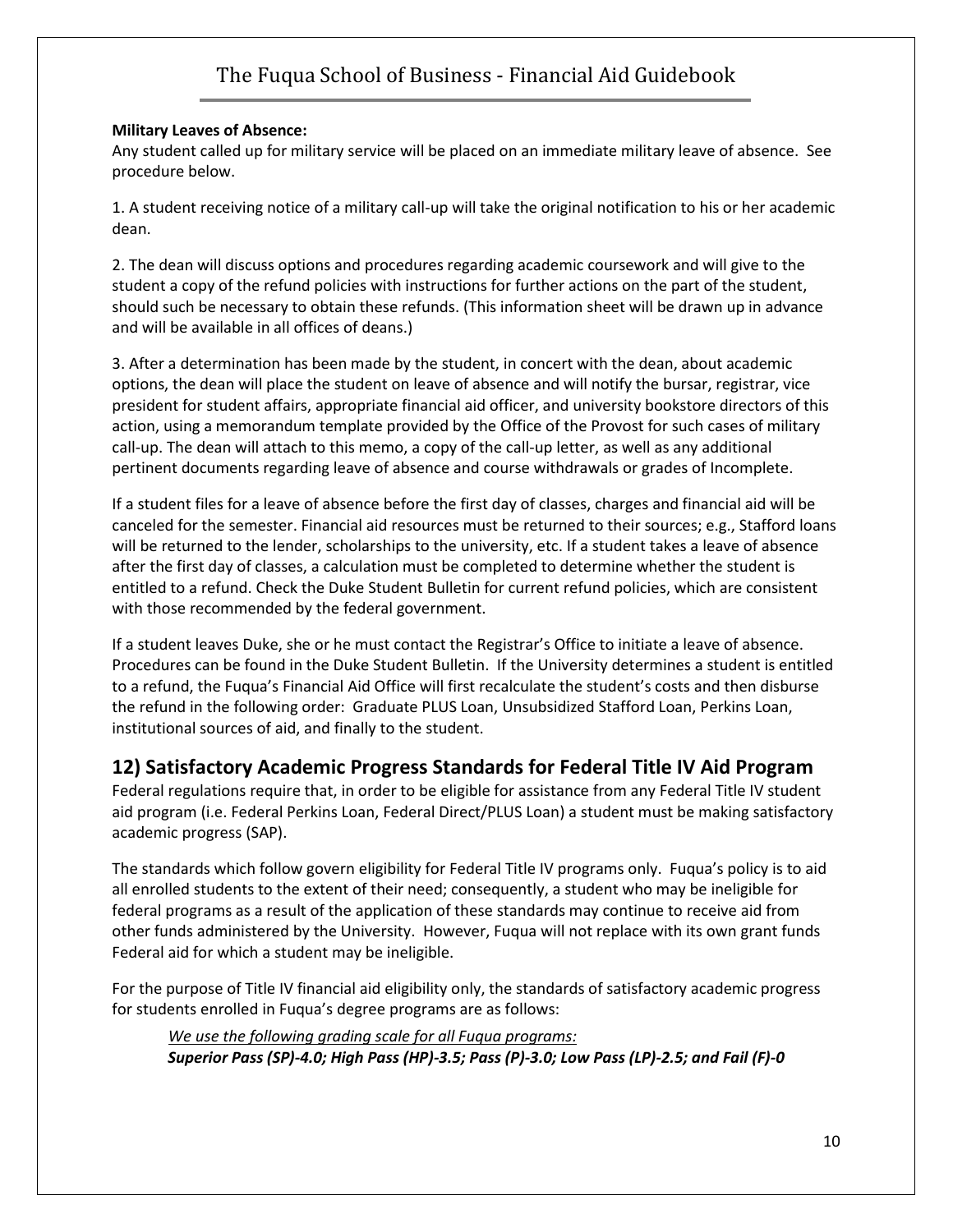#### **Military Leaves of Absence:**

Any student called up for military service will be placed on an immediate military leave of absence. See procedure below.

1. A student receiving notice of a military call-up will take the original notification to his or her academic dean.

2. The dean will discuss options and procedures regarding academic coursework and will give to the student a copy of the refund policies with instructions for further actions on the part of the student, should such be necessary to obtain these refunds. (This information sheet will be drawn up in advance and will be available in all offices of deans.)

3. After a determination has been made by the student, in concert with the dean, about academic options, the dean will place the student on leave of absence and will notify the bursar, registrar, vice president for student affairs, appropriate financial aid officer, and university bookstore directors of this action, using a memorandum template provided by the Office of the Provost for such cases of military call-up. The dean will attach to this memo, a copy of the call-up letter, as well as any additional pertinent documents regarding leave of absence and course withdrawals or grades of Incomplete.

If a student files for a leave of absence before the first day of classes, charges and financial aid will be canceled for the semester. Financial aid resources must be returned to their sources; e.g., Stafford loans will be returned to the lender, scholarships to the university, etc. If a student takes a leave of absence after the first day of classes, a calculation must be completed to determine whether the student is entitled to a refund. Check the Duke Student Bulletin for current refund policies, which are consistent with those recommended by the federal government.

If a student leaves Duke, she or he must contact the Registrar's Office to initiate a leave of absence. Procedures can be found in the Duke Student Bulletin. If the University determines a student is entitled to a refund, the Fuqua's Financial Aid Office will first recalculate the student's costs and then disburse the refund in the following order: Graduate PLUS Loan, Unsubsidized Stafford Loan, Perkins Loan, institutional sources of aid, and finally to the student.

#### **12) Satisfactory Academic Progress Standards for Federal Title IV Aid Program**

Federal regulations require that, in order to be eligible for assistance from any Federal Title IV student aid program (i.e. Federal Perkins Loan, Federal Direct/PLUS Loan) a student must be making satisfactory academic progress (SAP).

The standards which follow govern eligibility for Federal Title IV programs only. Fuqua's policy is to aid all enrolled students to the extent of their need; consequently, a student who may be ineligible for federal programs as a result of the application of these standards may continue to receive aid from other funds administered by the University. However, Fuqua will not replace with its own grant funds Federal aid for which a student may be ineligible.

For the purpose of Title IV financial aid eligibility only, the standards of satisfactory academic progress for students enrolled in Fuqua's degree programs are as follows:

*We use the following grading scale for all Fuqua programs: Superior Pass (SP)-4.0; High Pass (HP)-3.5; Pass (P)-3.0; Low Pass (LP)-2.5; and Fail (F)-0*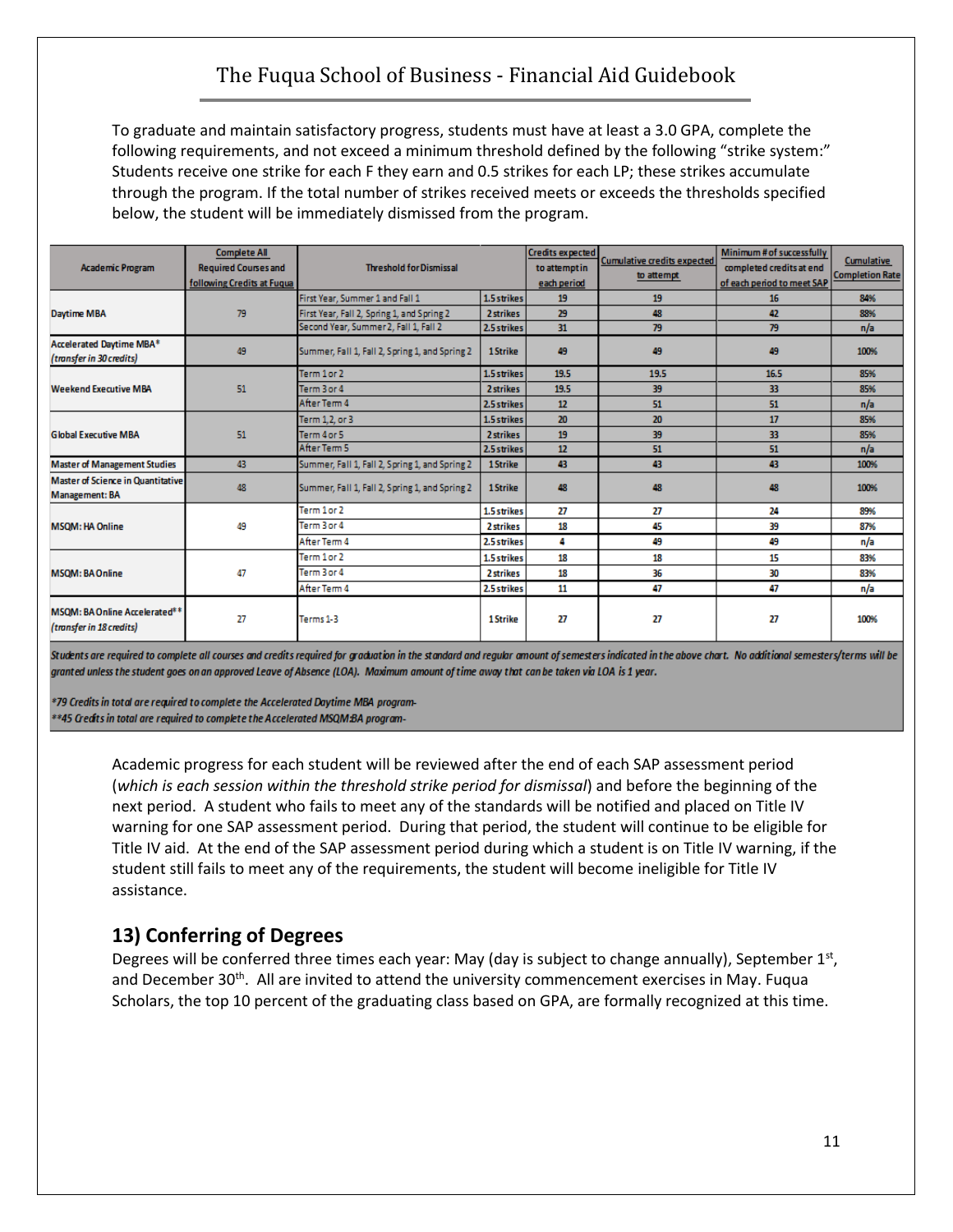To graduate and maintain satisfactory progress, students must have at least a 3.0 GPA, complete the following requirements, and not exceed a minimum threshold defined by the following "strike system:" Students receive one strike for each F they earn and 0.5 strikes for each LP; these strikes accumulate through the program. If the total number of strikes received meets or exceeds the thresholds specified below, the student will be immediately dismissed from the program.

| <b>Academic Program</b>                                           | <b>Complete All</b><br><b>Required Courses and</b><br>following Credits at Fuqua | <b>Threshold for Dismissal</b>                 |             | <b>Credits expected</b><br>to attempt in<br>each period | <b>Cumulative credits expected</b><br>to attempt | Minimum # of successfully<br>completed credits at end<br>of each period to meet SAP | Cumulative<br><b>Completion Rate</b> |
|-------------------------------------------------------------------|----------------------------------------------------------------------------------|------------------------------------------------|-------------|---------------------------------------------------------|--------------------------------------------------|-------------------------------------------------------------------------------------|--------------------------------------|
|                                                                   |                                                                                  | First Year, Summer 1 and Fall 1                | 1.5 strikes | 19                                                      | 19                                               | 16                                                                                  | 84%                                  |
| <b>Daytime MBA</b>                                                | 79                                                                               | First Year, Fall 2, Spring 1, and Spring 2     | 2 strikes   | 29                                                      | 48                                               | 42                                                                                  | 88%                                  |
|                                                                   |                                                                                  | Second Year, Summer 2, Fall 1, Fall 2          | 2.5 strikes | 31                                                      | 79                                               | 79                                                                                  | n/a                                  |
| Accelerated Daytime MBA*<br>(transfer in 30 credits)              | 49                                                                               | Summer, Fall 1, Fall 2, Spring 1, and Spring 2 | 1 Strike    | 49                                                      | 49                                               | 49                                                                                  | 100%                                 |
|                                                                   |                                                                                  | Term 1 or 2                                    | 1.5 strikes | 19.5                                                    | 19.5                                             | 16.5                                                                                | 85%                                  |
| <b>Weekend Executive MBA</b>                                      | 51                                                                               | Term 3 or 4                                    | 2 strikes   | 19.5                                                    | 39                                               | 33                                                                                  | 85%                                  |
|                                                                   |                                                                                  | After Term 4                                   | 2.5 strikes | 12                                                      | 51                                               | 51                                                                                  | n/a                                  |
|                                                                   | 51                                                                               | Term 1,2, or 3                                 | 1.5 strikes | 20                                                      | 20                                               | 17                                                                                  | 85%                                  |
| <b>Global Executive MBA</b>                                       |                                                                                  | Term 4 or 5                                    | 2 strikes   | 19                                                      | 39                                               | 33                                                                                  | 85%                                  |
|                                                                   |                                                                                  | After Term 5                                   | 2.5 strikes | 12                                                      | 51                                               | 51                                                                                  | n/a                                  |
| <b>Master of Management Studies</b>                               | 43                                                                               | Summer, Fall 1, Fall 2, Spring 1, and Spring 2 | 1 Strike    | 43                                                      | 43                                               | 43                                                                                  | 100%                                 |
| <b>Master of Science in Quantitative</b><br><b>Management: BA</b> | 48                                                                               | Summer, Fall 1, Fall 2, Spring 1, and Spring 2 | 1 Strike    | 48                                                      | 48                                               | 48                                                                                  | 100%                                 |
|                                                                   |                                                                                  | Term 1 or 2                                    | 1.5 strikes | 27                                                      | 27                                               | 24                                                                                  | 89%                                  |
| <b>MSOM: HA Online</b>                                            | 49                                                                               | Term 3 or 4                                    | 2 strikes   | 18                                                      | 45                                               | 39                                                                                  | 87%                                  |
|                                                                   |                                                                                  | After Term 4                                   | 2.5 strikes | 4                                                       | 49                                               | 49                                                                                  | n/a                                  |
|                                                                   |                                                                                  | Term 1 or 2                                    | 1.5 strikes | 18                                                      | 18                                               | 15                                                                                  | 83%                                  |
| <b>MSOM: BAOnline</b>                                             | 47                                                                               | Term 3 or 4                                    | 2 strikes   | 18                                                      | 36                                               | 30                                                                                  | 83%                                  |
|                                                                   |                                                                                  | After Term 4                                   | 2.5 strikes | 11                                                      | 47                                               | 47                                                                                  | n/a                                  |
| MSOM: BA Online Accelerated**<br>(transfer in 18 credits)         | 27                                                                               | Terms 1-3                                      | 1 Strike    | 27                                                      | 27                                               | 27                                                                                  | 100%                                 |

Students are required to complete all courses and credits required for graduation in the standard and regular amount of semesters indicated in the above chart. No additional semesters/terms will be granted unless the student goes on an approved Leave of Absence (LOA). Maximum amount of time away that can be taken via LOA is 1 year.

\*79 Credits in total are required to complete the Accelerated Daytime MBA program-\*\*45 Credits in total are required to complete the Accelerated MSQM:BA program-

> Academic progress for each student will be reviewed after the end of each SAP assessment period (*which is each session within the threshold strike period for dismissal*) and before the beginning of the next period. A student who fails to meet any of the standards will be notified and placed on Title IV warning for one SAP assessment period. During that period, the student will continue to be eligible for Title IV aid. At the end of the SAP assessment period during which a student is on Title IV warning, if the student still fails to meet any of the requirements, the student will become ineligible for Title IV assistance.

## **13) Conferring of Degrees**

Degrees will be conferred three times each year: May (day is subject to change annually), September 1st, and December 30<sup>th</sup>. All are invited to attend the university commencement exercises in May. Fuqua Scholars, the top 10 percent of the graduating class based on GPA, are formally recognized at this time.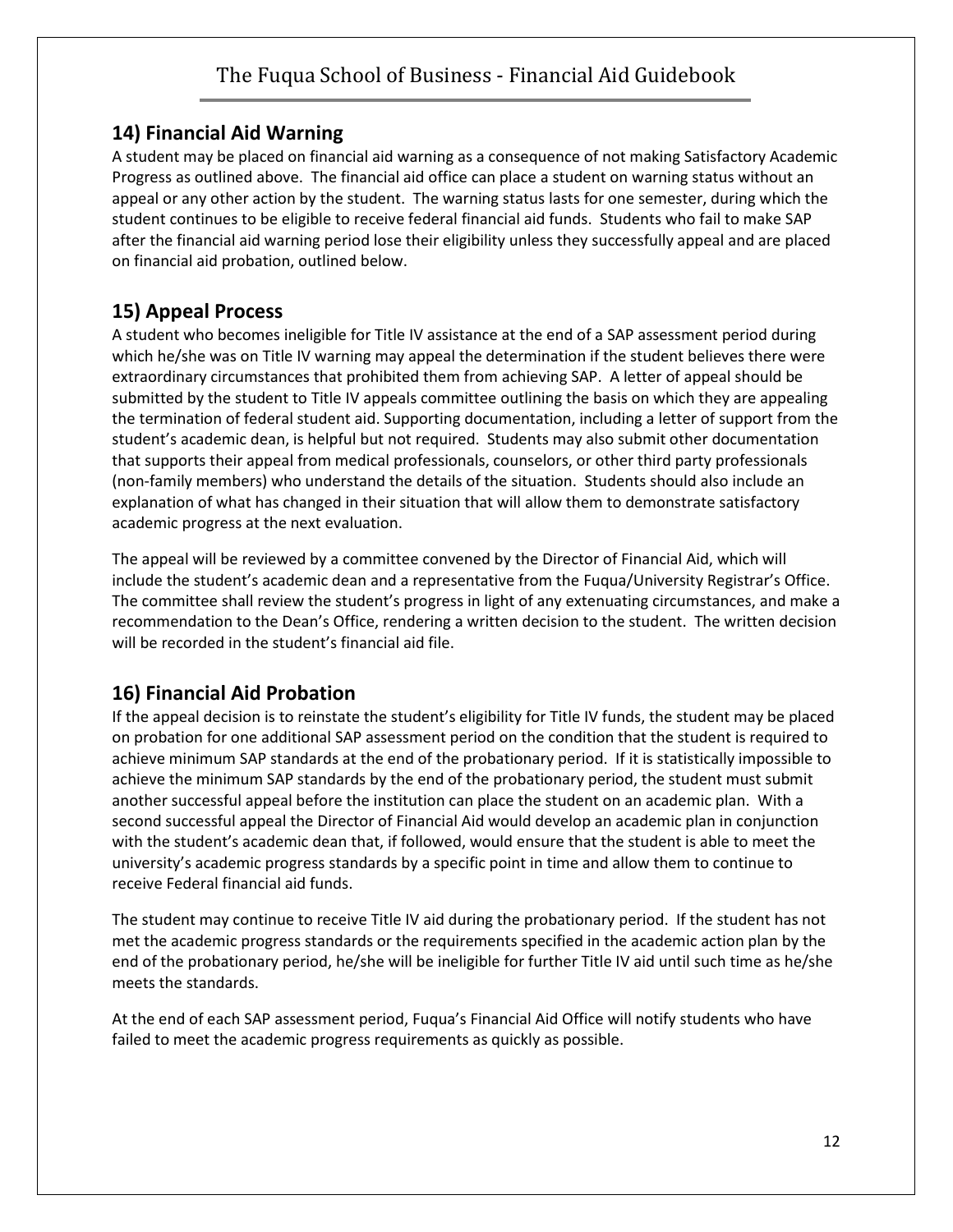#### **14) Financial Aid Warning**

A student may be placed on financial aid warning as a consequence of not making Satisfactory Academic Progress as outlined above. The financial aid office can place a student on warning status without an appeal or any other action by the student. The warning status lasts for one semester, during which the student continues to be eligible to receive federal financial aid funds. Students who fail to make SAP after the financial aid warning period lose their eligibility unless they successfully appeal and are placed on financial aid probation, outlined below.

## **15) Appeal Process**

A student who becomes ineligible for Title IV assistance at the end of a SAP assessment period during which he/she was on Title IV warning may appeal the determination if the student believes there were extraordinary circumstances that prohibited them from achieving SAP. A letter of appeal should be submitted by the student to Title IV appeals committee outlining the basis on which they are appealing the termination of federal student aid. Supporting documentation, including a letter of support from the student's academic dean, is helpful but not required. Students may also submit other documentation that supports their appeal from medical professionals, counselors, or other third party professionals (non-family members) who understand the details of the situation. Students should also include an explanation of what has changed in their situation that will allow them to demonstrate satisfactory academic progress at the next evaluation.

The appeal will be reviewed by a committee convened by the Director of Financial Aid, which will include the student's academic dean and a representative from the Fuqua/University Registrar's Office. The committee shall review the student's progress in light of any extenuating circumstances, and make a recommendation to the Dean's Office, rendering a written decision to the student. The written decision will be recorded in the student's financial aid file.

## **16) Financial Aid Probation**

If the appeal decision is to reinstate the student's eligibility for Title IV funds, the student may be placed on probation for one additional SAP assessment period on the condition that the student is required to achieve minimum SAP standards at the end of the probationary period. If it is statistically impossible to achieve the minimum SAP standards by the end of the probationary period, the student must submit another successful appeal before the institution can place the student on an academic plan. With a second successful appeal the Director of Financial Aid would develop an academic plan in conjunction with the student's academic dean that, if followed, would ensure that the student is able to meet the university's academic progress standards by a specific point in time and allow them to continue to receive Federal financial aid funds.

The student may continue to receive Title IV aid during the probationary period. If the student has not met the academic progress standards or the requirements specified in the academic action plan by the end of the probationary period, he/she will be ineligible for further Title IV aid until such time as he/she meets the standards.

At the end of each SAP assessment period, Fuqua's Financial Aid Office will notify students who have failed to meet the academic progress requirements as quickly as possible.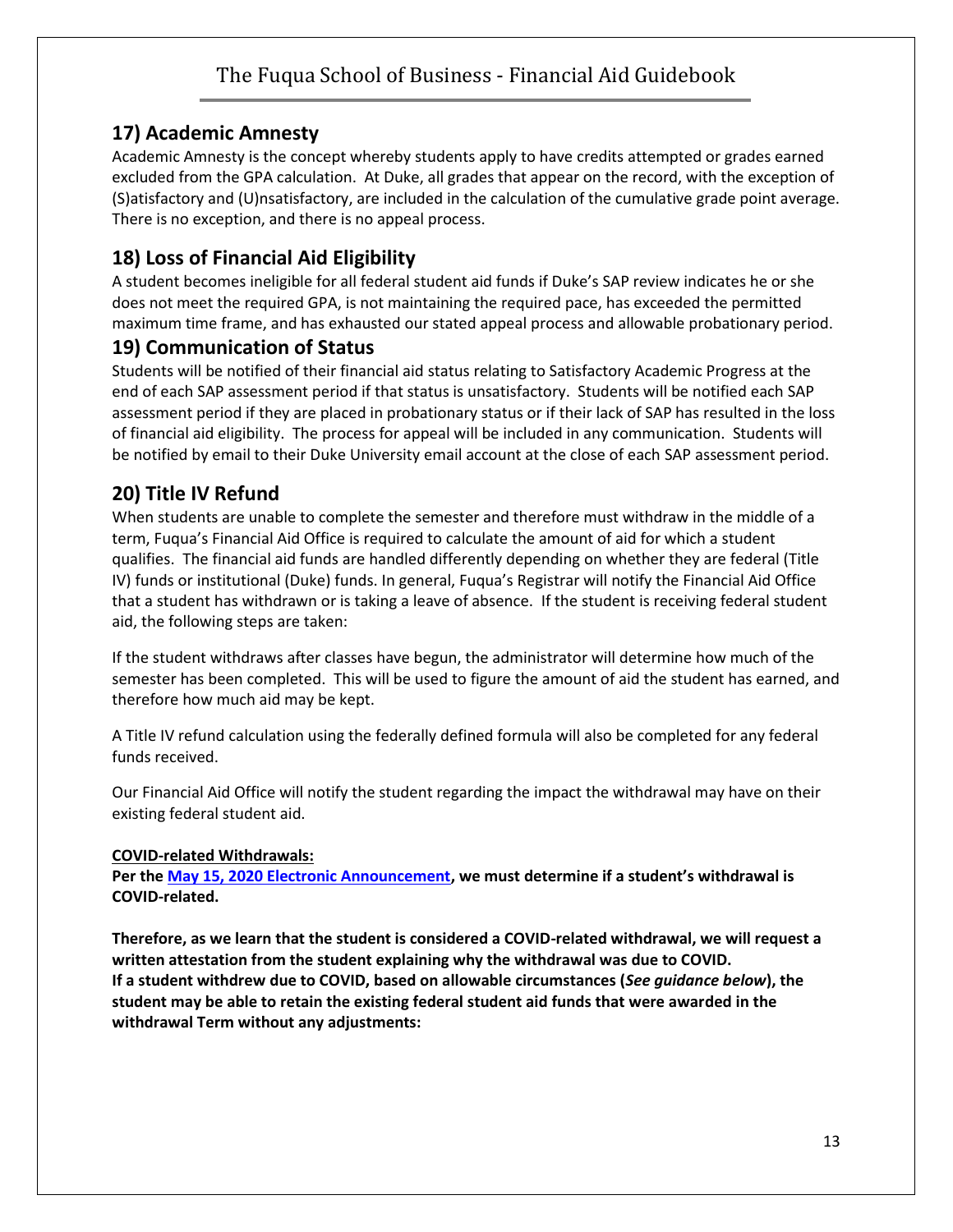## **17) Academic Amnesty**

Academic Amnesty is the concept whereby students apply to have credits attempted or grades earned excluded from the GPA calculation. At Duke, all grades that appear on the record, with the exception of (S)atisfactory and (U)nsatisfactory, are included in the calculation of the cumulative grade point average. There is no exception, and there is no appeal process.

#### **18) Loss of Financial Aid Eligibility**

A student becomes ineligible for all federal student aid funds if Duke's SAP review indicates he or she does not meet the required GPA, is not maintaining the required pace, has exceeded the permitted maximum time frame, and has exhausted our stated appeal process and allowable probationary period.

#### **19) Communication of Status**

Students will be notified of their financial aid status relating to Satisfactory Academic Progress at the end of each SAP assessment period if that status is unsatisfactory. Students will be notified each SAP assessment period if they are placed in probationary status or if their lack of SAP has resulted in the loss of financial aid eligibility. The process for appeal will be included in any communication. Students will be notified by email to their Duke University email account at the close of each SAP assessment period.

## **20) Title IV Refund**

When students are unable to complete the semester and therefore must withdraw in the middle of a term, Fuqua's Financial Aid Office is required to calculate the amount of aid for which a student qualifies. The financial aid funds are handled differently depending on whether they are federal (Title IV) funds or institutional (Duke) funds. In general, Fuqua's Registrar will notify the Financial Aid Office that a student has withdrawn or is taking a leave of absence. If the student is receiving federal student aid, the following steps are taken:

If the student withdraws after classes have begun, the administrator will determine how much of the semester has been completed. This will be used to figure the amount of aid the student has earned, and therefore how much aid may be kept.

A Title IV refund calculation using the federally defined formula will also be completed for any federal funds received.

Our Financial Aid Office will notify the student regarding the impact the withdrawal may have on their existing federal student aid.

#### **COVID-related Withdrawals:**

**Per the [May 15, 2020 Electronic Announcement](https://urldefense.com/v3/__https:/ifap.ed.gov/electronic-announcements/051520UPDATEDGuidanceInterruptStudyRelCOVID19May2020__;!!OToaGQ!5su_j1fY-7PsLnCpP5GmDbc6tsFBPlkiqrydIpqjz9DGyh6tsZ18WGVoYdzs0G8D9U2fP0FSn4L8wjCYidhM$), we must determine if a student's withdrawal is COVID-related.**

**Therefore, as we learn that the student is considered a COVID-related withdrawal, we will request a written attestation from the student explaining why the withdrawal was due to COVID. If a student withdrew due to COVID, based on allowable circumstances (***See guidance below***), the student may be able to retain the existing federal student aid funds that were awarded in the withdrawal Term without any adjustments:**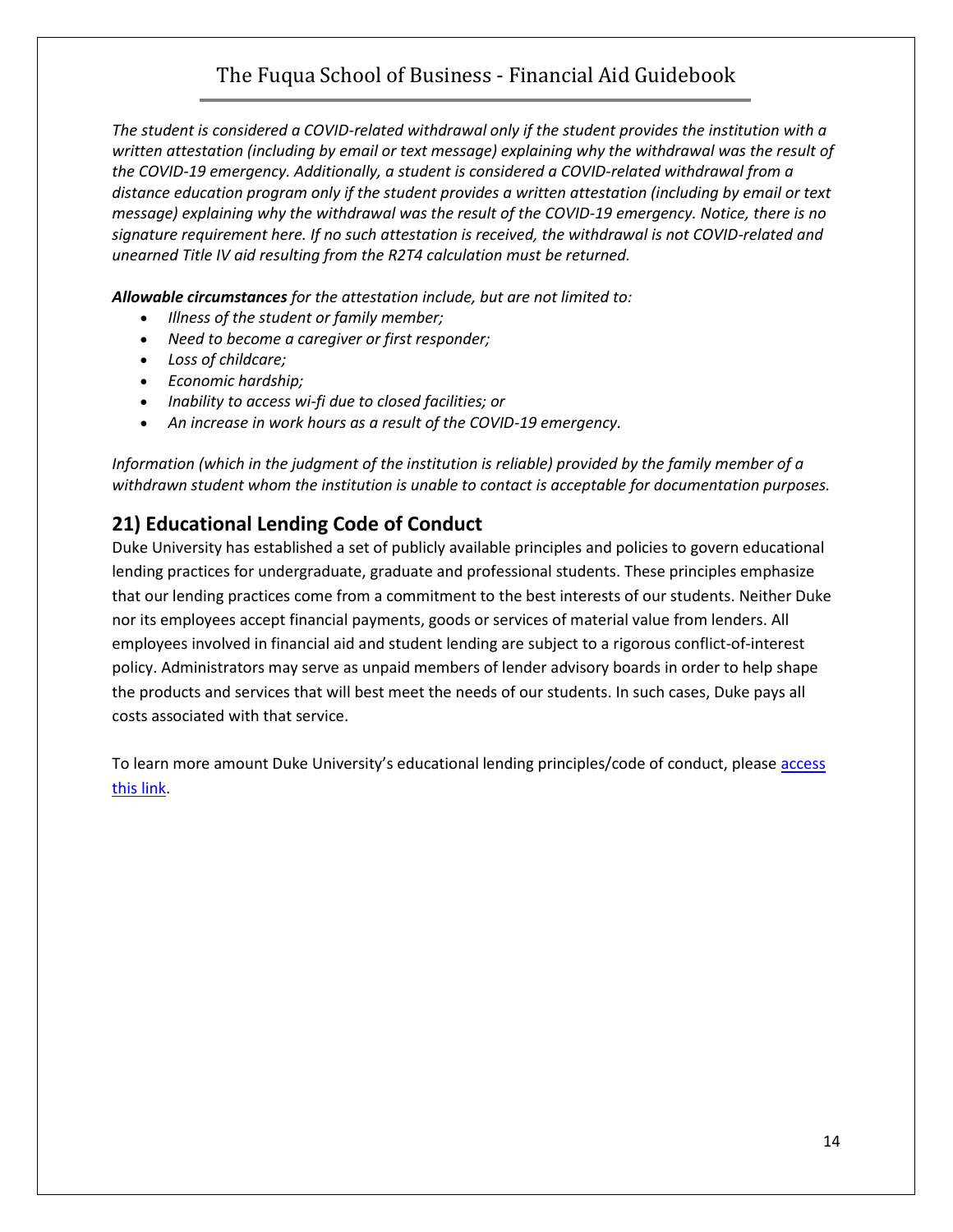*The student is considered a COVID-related withdrawal only if the student provides the institution with a written attestation (including by email or text message) explaining why the withdrawal was the result of the COVID-19 emergency. Additionally, a student is considered a COVID-related withdrawal from a distance education program only if the student provides a written attestation (including by email or text message) explaining why the withdrawal was the result of the COVID-19 emergency. Notice, there is no signature requirement here. If no such attestation is received, the withdrawal is not COVID-related and unearned Title IV aid resulting from the R2T4 calculation must be returned.*

*Allowable circumstances for the attestation include, but are not limited to:*

- *Illness of the student or family member;*
- *Need to become a caregiver or first responder;*
- *Loss of childcare;*
- *Economic hardship;*
- *Inability to access wi-fi due to closed facilities; or*
- *An increase in work hours as a result of the COVID-19 emergency.*

*Information (which in the judgment of the institution is reliable) provided by the family member of a withdrawn student whom the institution is unable to contact is acceptable for documentation purposes.*

#### **21) Educational Lending Code of Conduct**

Duke University has established a set of publicly available principles and policies to govern educational lending practices for undergraduate, graduate and professional students. These principles emphasize that our lending practices come from a commitment to the best interests of our students. Neither Duke nor its employees accept financial payments, goods or services of material value from lenders. All employees involved in financial aid and student lending are subject to a rigorous conflict-of-interest policy. Administrators may serve as unpaid members of lender advisory boards in order to help shape the products and services that will best meet the needs of our students. In such cases, Duke pays all costs associated with that service.

To learn more amount Duke University's educational lending principles/code of conduct, please access [this link.](https://financialaid.duke.edu/educational-lending-code-conduct)